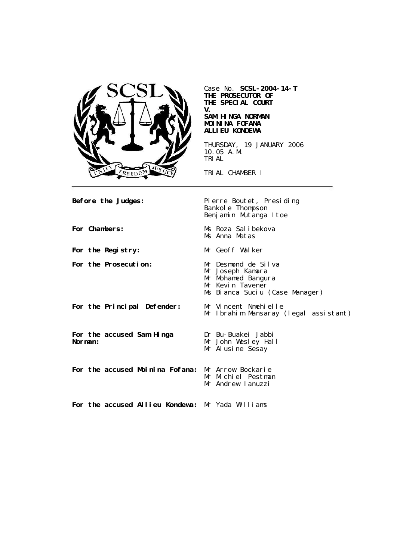

Case No. **SCSL-2004-14-T THE PROSECUTOR OF THE SPECIAL COURT V. SAM HINGA NORMAN MOININA FOFANA ALLIEU KONDEWA**

THURSDAY, 19 JANUARY 2006 10.05 A.M. TRIAL

TRIAL CHAMBER I

Before the Judges: Pierre Boutet, Presiding Bankole Thompson Benjamin Mutanga Itoe **For Chambers:** Ms Roza Salibekova Ms Anna Matas For the Registry: Mr Geoff Walker **For the Prosecution:** Mr Desmond de Silva Mr Joseph Kamara Mr Mohamed Bangura Mr Kevin Tavener Ms Bianca Suciu (Case Manager) **For the Principal Defender:** Mr Vincent Nmehielle Mr Ibrahim Mansaray (legal assistant) **For the accused Sam Hinga Norman:** Dr Bu-Buakei Jabbi Mr John Wesley Hall Mr Alusine Sesay **For the accused Moinina Fofana:** Mr Arrow Bockarie Mr Michiel Pestman Mr Andrew Ianuzzi **For the accused Allieu Kondewa:** Mr Yada Williams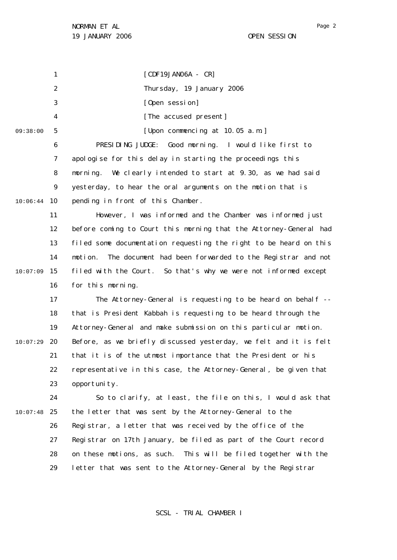1 2 3 4 5 6 7 8  $\mathsf{Q}$ 10 10:06:44 11 12 13 14 15 10:07:09 16 17 18 19 20 21 22 23 24 25 10:07:48 26 27 28 29 09:38:00 10:07:29 [CDF19JAN06A - CR] Thursday, 19 January 2006 [Open session] [The accused present] [Upon commencing at 10.05 a.m.] PRESIDING JUDGE: Good morning. I would like first to apologise for this delay in starting the proceedings this morning. We clearly intended to start at 9.30, as we had said yesterday, to hear the oral arguments on the motion that is pending in front of this Chamber. However, I was informed and the Chamber was informed just before coming to Court this morning that the Attorney-General had filed some documentation requesting the right to be heard on this motion. The document had been forwarded to the Registrar and not filed with the Court. So that's why we were not informed except for this morning. The Attorney-General is requesting to be heard on behalf - that is President Kabbah is requesting to be heard through the Attorney-General and make submission on this particular motion. Before, as we briefly discussed yesterday, we felt and it is felt that it is of the utmost importance that the President or his representative in this case, the Attorney-General, be given that opportunity. So to clarify, at least, the file on this, I would ask that the letter that was sent by the Attorney-General to the Registrar, a letter that was received by the office of the Registrar on 17th January, be filed as part of the Court record on these motions, as such. This will be filed together with the letter that was sent to the Attorney-General by the Registrar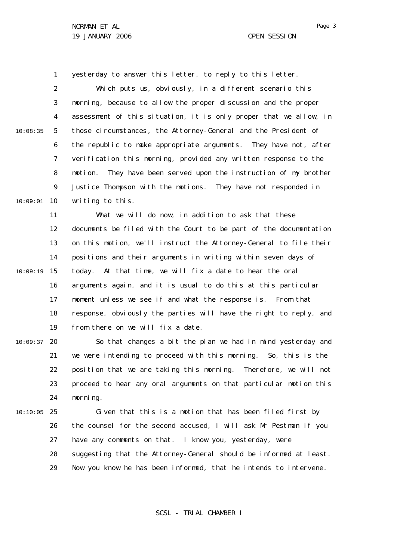1 2 3 4 5 6 7 8  $\mathsf{Q}$ 10 10:09:01 10:08:35 yesterday to answer this letter, to reply to this letter. Which puts us, obviously, in a different scenario this morning, because to allow the proper discussion and the proper assessment of this situation, it is only proper that we allow, in those circumstances, the Attorney-General and the President of the republic to make appropriate arguments. They have not, after verification this morning, provided any written response to the motion. They have been served upon the instruction of my brother Justice Thompson with the motions. They have not responded in writing to this.

11 12 13 14 15 10:09:19 16 17 18 19 What we will do now, in addition to ask that these documents be filed with the Court to be part of the documentation on this motion, we'll instruct the Attorney-General to file their positions and their arguments in writing within seven days of today. At that time, we will fix a date to hear the oral arguments again, and it is usual to do this at this particular moment unless we see if and what the response is. From that response, obviously the parties will have the right to reply, and from there on we will fix a date.

20 10:09:37 21 22 23 24 So that changes a bit the plan we had in mind yesterday and we were intending to proceed with this morning. So, this is the position that we are taking this morning. Therefore, we will not proceed to hear any oral arguments on that particular motion this morning.

25 10:10:05 26 27 28 29 Given that this is a motion that has been filed first by the counsel for the second accused, I will ask Mr Pestman if you have any comments on that. I know you, yesterday, were suggesting that the Attorney-General should be informed at least. Now you know he has been informed, that he intends to intervene.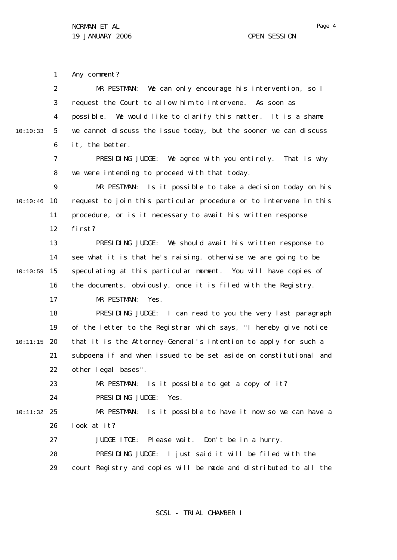1 2 3 4 5 6 7 8  $\mathsf{Q}$ 10 10:10:46 11 12 13 14 15 10:10:59 16 17 18 19 20 10:11:15 21 22 23  $24$ 25 10:11:32 26 27 28 29 10:10:33 Any comment? MR PESTMAN: We can only encourage his intervention, so I request the Court to allow him to intervene. As soon as possible. We would like to clarify this matter. It is a shame we cannot discuss the issue today, but the sooner we can discuss it, the better. PRESIDING JUDGE: We agree with you entirely. That is why we were intending to proceed with that today. MR PESTMAN: Is it possible to take a decision today on his request to join this particular procedure or to intervene in this procedure, or is it necessary to await his written response first? PRESIDING JUDGE: We should await his written response to see what it is that he's raising, otherwise we are going to be speculating at this particular moment. You will have copies of the documents, obviously, once it is filed with the Registry. MR PESTMAN: Yes. PRESIDING JUDGE: I can read to you the very last paragraph of the letter to the Registrar which says, "I hereby give notice that it is the Attorney-General's intention to apply for such a subpoena if and when issued to be set aside on constitutional and other legal bases". MR PESTMAN: Is it possible to get a copy of it? PRESIDING JUDGE: Yes. MR PESTMAN: Is it possible to have it now so we can have a look at it? JUDGE ITOE: Please wait. Don't be in a hurry. PRESIDING JUDGE: I just said it will be filed with the court Registry and copies will be made and distributed to all the

SCSL - TRIAL CHAMBER I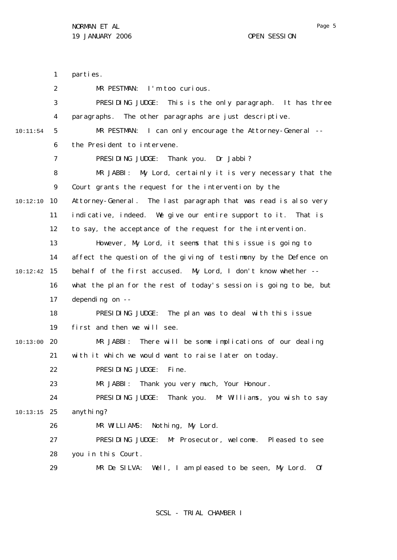1 2 3 4 5 6 7 8  $\mathsf{Q}$ 10 10:12:10 11 12 13 14 15 10:12:42 16 17 18 19 20 10:13:00 21 22 23 24 25 10:13:15 26 27 28 29 10:11:54 parties. MR PESTMAN: I'm too curious. PRESIDING JUDGE: This is the only paragraph. It has three paragraphs. The other paragraphs are just descriptive. MR PESTMAN: I can only encourage the Attorney-General -the President to intervene. PRESIDING JUDGE: Thank you. Dr Jabbi? MR JABBI: My Lord, certainly it is very necessary that the Court grants the request for the intervention by the Attorney-General. The last paragraph that was read is also very indicative, indeed. We give our entire support to it. That is to say, the acceptance of the request for the intervention. However, My Lord, it seems that this issue is going to affect the question of the giving of testimony by the Defence on behalf of the first accused. My Lord, I don't know whether - what the plan for the rest of today's session is going to be, but depending on -- PRESIDING JUDGE: The plan was to deal with this issue first and then we will see. MR JABBI: There will be some implications of our dealing with it which we would want to raise later on today. PRESIDING JUDGE: Fine. MR JABBI: Thank you very much, Your Honour. PRESIDING JUDGE: Thank you. Mr Williams, you wish to say anything? MR WILLIAMS: Nothing, My Lord. PRESIDING JUDGE: Mr Prosecutor, welcome. Pleased to see you in this Court. MR De SILVA: Well, I am pleased to be seen, My Lord. Of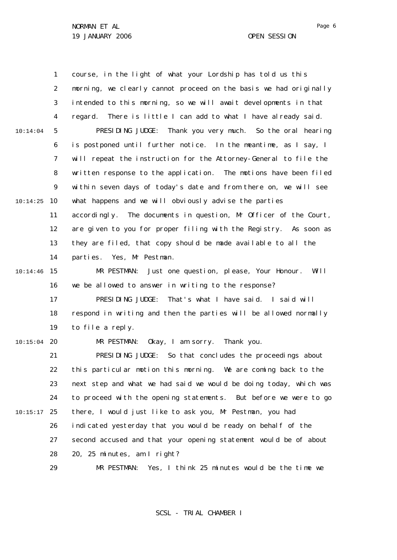|               | 1              | course, in the light of what your Lordship has told us this       |
|---------------|----------------|-------------------------------------------------------------------|
|               | $\overline{2}$ | morning, we clearly cannot proceed on the basis we had originally |
|               | 3              | intended to this morning, so we will await developments in that   |
|               | 4              | regard. There is little I can add to what I have already said.    |
| 10:14:04      | 5              | PRESIDING JUDGE: Thank you very much. So the oral hearing         |
|               | 6              | is postponed until further notice. In the meantime, as I say, I   |
|               | 7              | will repeat the instruction for the Attorney-General to file the  |
|               | 8              | written response to the application. The motions have been filed  |
|               | 9              | within seven days of today's date and from there on, we will see  |
| 10:14:25      | 10             | what happens and we will obviously advise the parties             |
|               | 11             | accordingly. The documents in question, Mr Officer of the Court,  |
|               | 12             | are given to you for proper filing with the Registry. As soon as  |
|               | 13             | they are filed, that copy should be made available to all the     |
|               | 14             | parties. Yes, Mr Pestman.                                         |
| 10:14:46      | 15             | MR PESTMAN: Just one question, please, Your Honour.<br>Will       |
|               | 16             | we be allowed to answer in writing to the response?               |
|               | 17             | That's what I have said. I said will<br>PRESIDING JUDGE:          |
|               | 18             | respond in writing and then the parties will be allowed normally  |
|               | 19             | to file a reply.                                                  |
| $10:15:04$ 20 |                | MR PESTMAN: Okay, I am sorry. Thank you.                          |
|               | 21             | PRESIDING JUDGE: So that concludes the proceedings about          |
|               | 22             | this particular motion this morning. We are coming back to the    |
|               | 23             | next step and what we had said we would be doing today, which was |
|               | 24             | to proceed with the opening statements. But before we were to go  |
| 10:15:17      | 25             | there, I would just like to ask you, Mr Pestman, you had          |
|               | 26             | indicated yesterday that you would be ready on behalf of the      |
|               | 27             | second accused and that your opening statement would be of about  |
|               | 28             | 20, 25 minutes, am I right?                                       |
|               | 29             | MR PESTMAN:<br>Yes, I think 25 minutes would be the time we       |

SCSL - TRIAL CHAMBER I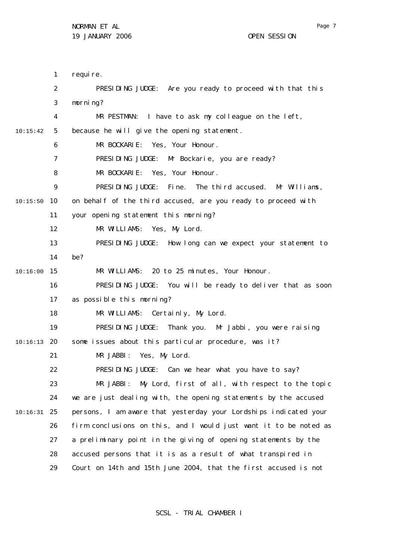1 2 3 4 5 6 7 8  $\mathsf{Q}$ 10 10:15:50 11 12 13 14 15 10:16:00 16 17 18 19 20 10:16:13 21 22 23 24 25 10:16:31 26 27 28 29 10:15:42 require. PRESIDING JUDGE: Are you ready to proceed with that this morning? MR PESTMAN: I have to ask my colleague on the left, because he will give the opening statement. MR BOCKARIE: Yes, Your Honour. PRESIDING JUDGE: Mr Bockarie, you are ready? MR BOCKARIE: Yes, Your Honour. PRESIDING JUDGE: Fine. The third accused. Mr Williams, on behalf of the third accused, are you ready to proceed with your opening statement this morning? MR WILLIAMS: Yes, My Lord. PRESIDING JUDGE: How long can we expect your statement to be? MR WILLIAMS: 20 to 25 minutes, Your Honour. PRESIDING JUDGE: You will be ready to deliver that as soon as possible this morning? MR WILLIAMS: Certainly, My Lord. PRESIDING JUDGE: Thank you. Mr Jabbi, you were raising some issues about this particular procedure, was it? MR JABBI: Yes, My Lord. PRESIDING JUDGE: Can we hear what you have to say? MR JABBI: My Lord, first of all, with respect to the topic we are just dealing with, the opening statements by the accused persons, I am aware that yesterday your Lordships indicated your firm conclusions on this, and I would just want it to be noted as a preliminary point in the giving of opening statements by the accused persons that it is as a result of what transpired in Court on 14th and 15th June 2004, that the first accused is not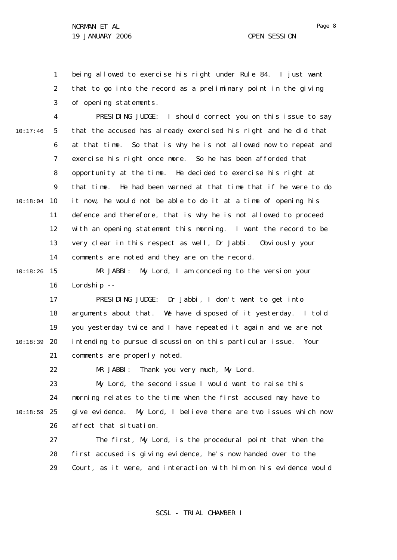1 2 3 being allowed to exercise his right under Rule 84. I just want that to go into the record as a preliminary point in the giving of opening statements.

4 5 6 7 8  $\mathsf{Q}$ 10 10:18:04 11 12 13 14 15 10:18:26 10:17:46 PRESIDING JUDGE: I should correct you on this issue to say that the accused has already exercised his right and he did that at that time. So that is why he is not allowed now to repeat and exercise his right once more. So he has been afforded that opportunity at the time. He decided to exercise his right at that time. He had been warned at that time that if he were to do it now, he would not be able to do it at a time of opening his defence and therefore, that is why he is not allowed to proceed with an opening statement this morning. I want the record to be very clear in this respect as well, Dr Jabbi. Obviously your comments are noted and they are on the record. MR JABBI: My Lord, I am conceding to the version your

16 Lordship --

17 18 19 20 10:18:39 21 PRESIDING JUDGE: Dr Jabbi, I don't want to get into arguments about that. We have disposed of it yesterday. I told you yesterday twice and I have repeated it again and we are not intending to pursue discussion on this particular issue. Your comments are properly noted.

> 22 MR JABBI: Thank you very much, My Lord.

23 24 25 10:18:59 26 My Lord, the second issue I would want to raise this morning relates to the time when the first accused may have to give evidence. My Lord, I believe there are two issues which now affect that situation.

> 27 28 29 The first, My Lord, is the procedural point that when the first accused is giving evidence, he's now handed over to the Court, as it were, and interaction with him on his evidence would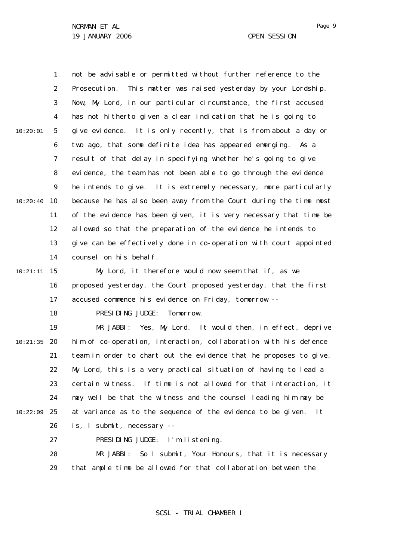1 2 3 4 5 6 7 8  $\mathsf{Q}$ 10 10:20:40 11 12 13 14 15 10:21:11 16 17 18 10:20:01 not be advisable or permitted without further reference to the Prosecution. This matter was raised yesterday by your Lordship. Now, My Lord, in our particular circumstance, the first accused has not hitherto given a clear indication that he is going to give evidence. It is only recently, that is from about a day or two ago, that some definite idea has appeared emerging. As a result of that delay in specifying whether he's going to give evidence, the team has not been able to go through the evidence he intends to give. It is extremely necessary, more particularly because he has also been away from the Court during the time most of the evidence has been given, it is very necessary that time be allowed so that the preparation of the evidence he intends to give can be effectively done in co-operation with court appointed counsel on his behalf. My Lord, it therefore would now seem that if, as we proposed yesterday, the Court proposed yesterday, that the first accused commence his evidence on Friday, tomorrow -- PRESIDING JUDGE: Tomorrow.

19 20 10:21:35 21 22 23 24 25 10:22:09 26 MR JABBI: Yes, My Lord. It would then, in effect, deprive him of co-operation, interaction, collaboration with his defence team in order to chart out the evidence that he proposes to give. My Lord, this is a very practical situation of having to lead a certain witness. If time is not allowed for that interaction, it may well be that the witness and the counsel leading him may be at variance as to the sequence of the evidence to be given. It is, I submit, necessary --

27 PRESIDING JUDGE: I'm listening.

28 29 MR JABBI: So I submit, Your Honours, that it is necessary that ample time be allowed for that collaboration between the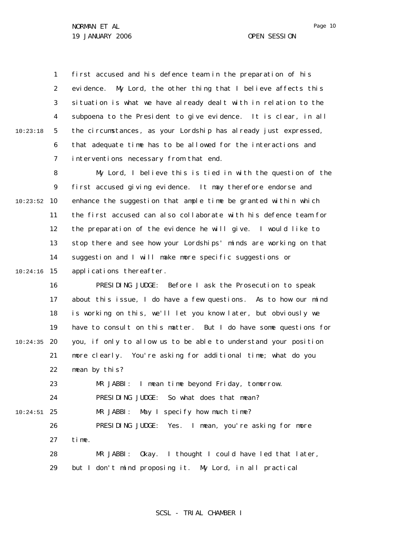1 2 3 4 5 6 7 10:23:18 first accused and his defence team in the preparation of his evidence. My Lord, the other thing that I believe affects this situation is what we have already dealt with in relation to the subpoena to the President to give evidence. It is clear, in all the circumstances, as your Lordship has already just expressed, that adequate time has to be allowed for the interactions and interventions necessary from that end.

8  $\mathsf{Q}$ 10 10:23:52 11 12 13 14 15 10:24:16 My Lord, I believe this is tied in with the question of the first accused giving evidence. It may therefore endorse and enhance the suggestion that ample time be granted within which the first accused can also collaborate with his defence team for the preparation of the evidence he will give. I would like to stop there and see how your Lordships' minds are working on that suggestion and I will make more specific suggestions or applications thereafter.

16 17 18 19 20 10:24:35 21 22 23 24 25 10:24:51 26 27 28 PRESIDING JUDGE: Before I ask the Prosecution to speak about this issue, I do have a few questions. As to how our mind is working on this, we'll let you know later, but obviously we have to consult on this matter. But I do have some questions for you, if only to allow us to be able to understand your position more clearly. You're asking for additional time; what do you mean by this? MR JABBI: I mean time beyond Friday, tomorrow. PRESIDING JUDGE: So what does that mean? MR JABBI: May I specify how much time? PRESIDING JUDGE: Yes. I mean, you're asking for more time. MR JABBI: Okay. I thought I could have led that later,

> 29 but I don't mind proposing it. My Lord, in all practical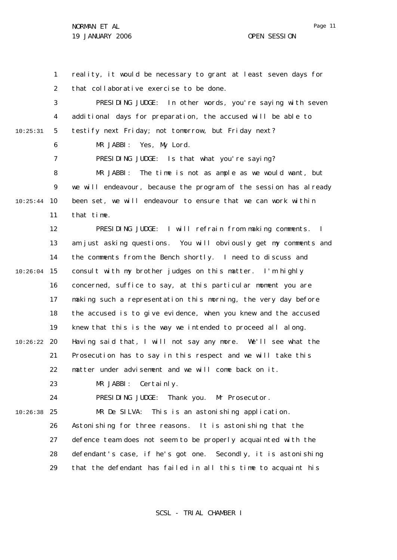1

2 3 4 5 6 7 8  $\mathsf{Q}$ 10 10:25:44 11 12 13 14 15 10:26:04 16 17 18 19 20 10:26:22 21 22 23 24 25 10:26:38 26 27 28 29 10:25:31 that collaborative exercise to be done. PRESIDING JUDGE: In other words, you're saying with seven additional days for preparation, the accused will be able to testify next Friday; not tomorrow, but Friday next? MR JABBI: Yes, My Lord. PRESIDING JUDGE: Is that what you're saying? MR JABBI: The time is not as ample as we would want, but we will endeavour, because the program of the session has already been set, we will endeavour to ensure that we can work within that time. PRESIDING JUDGE: I will refrain from making comments. I am just asking questions. You will obviously get my comments and the comments from the Bench shortly. I need to discuss and consult with my brother judges on this matter. I'm highly concerned, suffice to say, at this particular moment you are making such a representation this morning, the very day before the accused is to give evidence, when you knew and the accused knew that this is the way we intended to proceed all along. Having said that, I will not say any more. We'll see what the Prosecution has to say in this respect and we will take this matter under advisement and we will come back on it. MR JABBI: Certainly. PRESIDING JUDGE: Thank you. Mr Prosecutor. MR De SILVA: This is an astonishing application. Astonishing for three reasons. It is astonishing that the defence team does not seem to be properly acquainted with the defendant's case, if he's got one. Secondly, it is astonishing that the defendant has failed in all this time to acquaint his

reality, it would be necessary to grant at least seven days for

SCSL - TRIAL CHAMBER I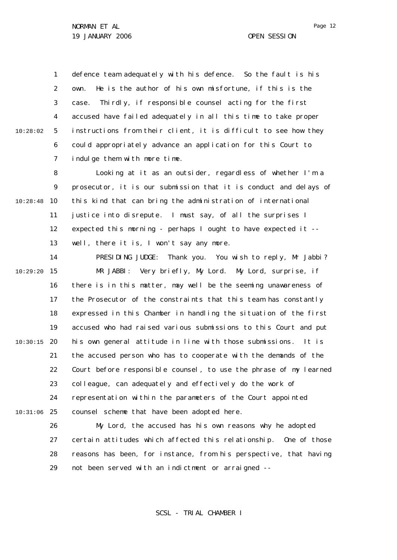1 2 3 4 5 6 7 10:28:02 defence team adequately with his defence. So the fault is his own. He is the author of his own misfortune, if this is the case. Thirdly, if responsible counsel acting for the first accused have failed adequately in all this time to take proper instructions from their client, it is difficult to see how they could appropriately advance an application for this Court to indulge them with more time.

8  $\mathsf{Q}$ 10 10:28:48 11 12 13 Looking at it as an outsider, regardless of whether I'm a prosecutor, it is our submission that it is conduct and delays of this kind that can bring the administration of international justice into disrepute. I must say, of all the surprises I expected this morning - perhaps I ought to have expected it - well, there it is, I won't say any more.

14 15 10:29:20 16 17 18 19 20 10:30:15 21 22 23 24 25 10:31:06 PRESIDING JUDGE: Thank you. You wish to reply, Mr Jabbi? MR JABBI: Very briefly, My Lord. My Lord, surprise, if there is in this matter, may well be the seeming unawareness of the Prosecutor of the constraints that this team has constantly expressed in this Chamber in handling the situation of the first accused who had raised various submissions to this Court and put his own general attitude in line with those submissions. It is the accused person who has to cooperate with the demands of the Court before responsible counsel, to use the phrase of my learned colleague, can adequately and effectively do the work of representation within the parameters of the Court appointed counsel scheme that have been adopted here.

> 26 27 28 29 My Lord, the accused has his own reasons why he adopted certain attitudes which affected this relationship. One of those reasons has been, for instance, from his perspective, that having not been served with an indictment or arraigned --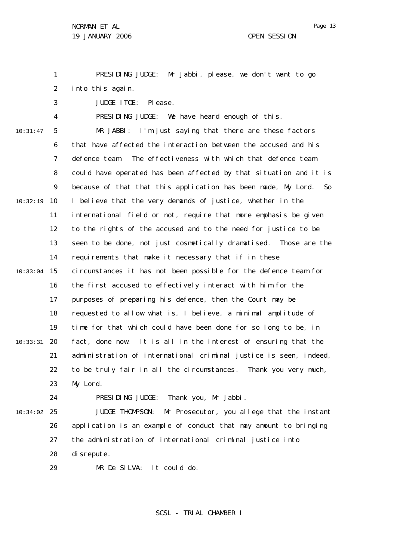1 2 PRESIDING JUDGE: Mr Jabbi, please, we don't want to go into this again.

3 JUDGE ITOE: Please.

4 PRESIDING JUDGE: We have heard enough of this.

5 6 7 8  $\mathsf{Q}$ 10 10:32:19 11 12 13 14 15 10:33:04 16 17 18 19 20 10:33:31 21 22 23 10:31:47 MR JABBI: I'm just saying that there are these factors that have affected the interaction between the accused and his defence team. The effectiveness with which that defence team could have operated has been affected by that situation and it is because of that that this application has been made, My Lord. So I believe that the very demands of justice, whether in the international field or not, require that more emphasis be given to the rights of the accused and to the need for justice to be seen to be done, not just cosmetically dramatised. Those are the requirements that make it necessary that if in these circumstances it has not been possible for the defence team for the first accused to effectively interact with him for the purposes of preparing his defence, then the Court may be requested to allow what is, I believe, a minimal amplitude of time for that which could have been done for so long to be, in fact, done now. It is all in the interest of ensuring that the administration of international criminal justice is seen, indeed, to be truly fair in all the circumstances. Thank you very much, My Lord.

 $24$ 

PRESIDING JUDGE: Thank you, Mr Jabbi.

25 10:34:02 26 27 28 JUDGE THOMPSON: Mr Prosecutor, you allege that the instant application is an example of conduct that may amount to bringing the administration of international criminal justice into disrepute.

> 29 MR De SILVA: It could do.

> > SCSL - TRIAL CHAMBER I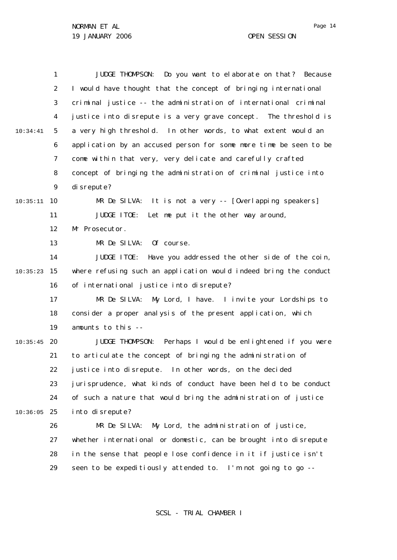1 2 3 4 5 6 7 8  $\mathsf{Q}$ 10 10:35:11 11 12 13 14 15 10:35:23 16 17 18 19 20 10:35:45 21 22 23 24 25 10:36:05 26 27 28 29 10:34:41 JUDGE THOMPSON: Do you want to elaborate on that? Because I would have thought that the concept of bringing international criminal justice -- the administration of international criminal justice into disrepute is a very grave concept. The threshold is a very high threshold. In other words, to what extent would an application by an accused person for some more time be seen to be come within that very, very delicate and carefully crafted concept of bringing the administration of criminal justice into disrepute? MR De SILVA: It is not a very -- [Overlapping speakers] JUDGE ITOE: Let me put it the other way around, Mr Prosecutor. MR De SILVA: Of course. JUDGE ITOE: Have you addressed the other side of the coin, where refusing such an application would indeed bring the conduct of international justice into disrepute? MR De SILVA: My Lord, I have. I invite your Lordships to consider a proper analysis of the present application, which amounts to this -- JUDGE THOMPSON: Perhaps I would be enlightened if you were to articulate the concept of bringing the administration of justice into disrepute. In other words, on the decided jurisprudence, what kinds of conduct have been held to be conduct of such a nature that would bring the administration of justice into disrepute? MR De SILVA: My Lord, the administration of justice, whether international or domestic, can be brought into disrepute in the sense that people lose confidence in it if justice isn't seen to be expeditiously attended to. I'm not going to go --

SCSL - TRIAL CHAMBER I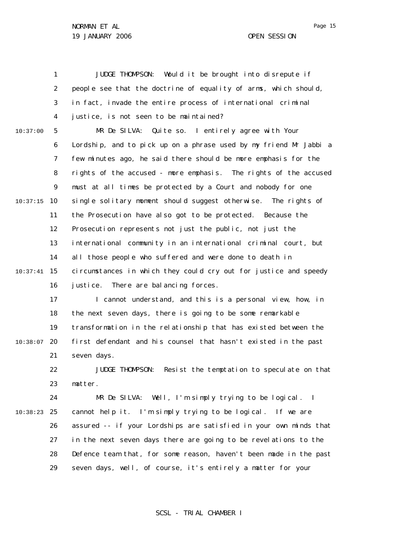1 2 3 4 5 6 7 8  $\mathsf{Q}$ 10 10:37:15 11 12 13 14 15 10:37:41 16 17 18 19 20 10:38:07 21 22 23 24 25 10:38:23 26 27 28 29 10:37:00 JUDGE THOMPSON: Would it be brought into disrepute if people see that the doctrine of equality of arms, which should, in fact, invade the entire process of international criminal justice, is not seen to be maintained? MR De SILVA: Quite so. I entirely agree with Your Lordship, and to pick up on a phrase used by my friend Mr Jabbi a few minutes ago, he said there should be more emphasis for the rights of the accused - more emphasis. The rights of the accused must at all times be protected by a Court and nobody for one single solitary moment should suggest otherwise. The rights of the Prosecution have also got to be protected. Because the Prosecution represents not just the public, not just the international community in an international criminal court, but all those people who suffered and were done to death in circumstances in which they could cry out for justice and speedy justice. There are balancing forces. I cannot understand, and this is a personal view, how, in the next seven days, there is going to be some remarkable transformation in the relationship that has existed between the first defendant and his counsel that hasn't existed in the past seven days. JUDGE THOMPSON: Resist the temptation to speculate on that matter. MR De SILVA: Well, I'm simply trying to be logical. I cannot help it. I'm simply trying to be logical. If we are assured -- if your Lordships are satisfied in your own minds that in the next seven days there are going to be revelations to the Defence team that, for some reason, haven't been made in the past seven days, well, of course, it's entirely a matter for your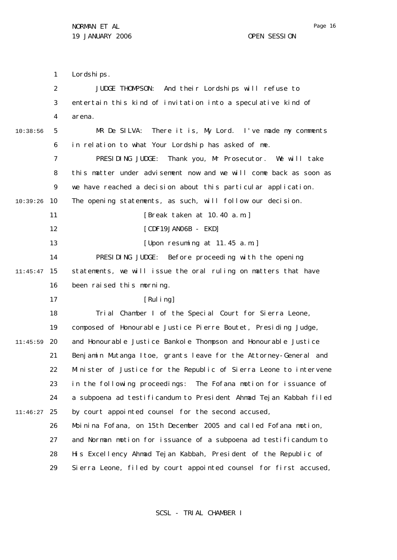Page 16

1 2 3 4 5 6 7 8  $\mathsf{Q}$ 10 10:39:26 11 12 13 14 15 11:45:47 16 17 18 19 20 21 22 23 24 25 11:46:27 26 27 28 29 10:38:56 11:45:59 Lordships. JUDGE THOMPSON: And their Lordships will refuse to entertain this kind of invitation into a speculative kind of arena. MR De SILVA: There it is, My Lord. I've made my comments in relation to what Your Lordship has asked of me. PRESIDING JUDGE: Thank you, Mr Prosecutor. We will take this matter under advisement now and we will come back as soon as we have reached a decision about this particular application. The opening statements, as such, will follow our decision. [Break taken at 10.40 a.m.] [CDF19JAN06B - EKD] [Upon resuming at 11.45 a.m.] PRESIDING JUDGE: Before proceeding with the opening statements, we will issue the oral ruling on matters that have been raised this morning. [Ruling] Trial Chamber I of the Special Court for Sierra Leone, composed of Honourable Justice Pierre Boutet, Presiding Judge, and Honourable Justice Bankole Thompson and Honourable Justice Benjamin Mutanga Itoe, grants leave for the Attorney-General and Minister of Justice for the Republic of Sierra Leone to intervene in the following proceedings: The Fofana motion for issuance of a subpoena *ad testificandum* to President Ahmad Tejan Kabbah filed by court appointed counsel for the second accused, Moinina Fofana, on 15th December 2005 and called Fofana motion, and Norman motion for issuance of a subpoena *ad testificandum* to His Excellency Ahmad Tejan Kabbah, President of the Republic of Sierra Leone, filed by court appointed counsel for first accused,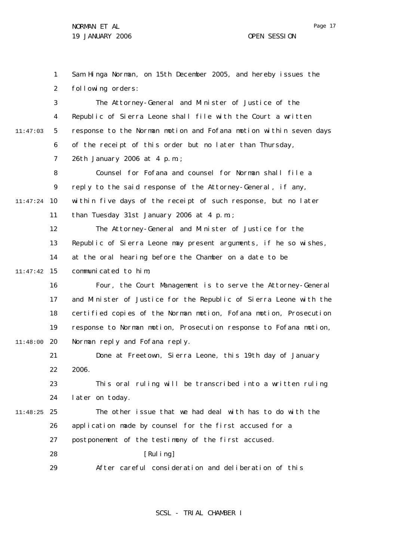1 2 3 4 5 6 7 8  $\mathsf{Q}$ 10 11:47:24 11 12 13 14 15 11:47:42 16 17 18 19 20 11:48:00 21 22 23 24 25 11:48:25 26 27 28 29 11:47:03 Sam Hinga Norman, on 15th December 2005, and hereby issues the following orders: The Attorney-General and Minister of Justice of the Republic of Sierra Leone shall file with the Court a written response to the Norman motion and Fofana motion within seven days of the receipt of this order but no later than Thursday, 26th January 2006 at 4 p.m.; Counsel for Fofana and counsel for Norman shall file a reply to the said response of the Attorney-General, if any, within five days of the receipt of such response, but no later than Tuesday 31st January 2006 at 4 p.m.; The Attorney-General and Minister of Justice for the Republic of Sierra Leone may present arguments, if he so wishes, at the oral hearing before the Chamber on a date to be communicated to him; Four, the Court Management is to serve the Attorney-General and Minister of Justice for the Republic of Sierra Leone with the certified copies of the Norman motion, Fofana motion, Prosecution response to Norman motion, Prosecution response to Fofana motion, Norman reply and Fofana reply. Done at Freetown, Sierra Leone, this 19th day of January 2006. This oral ruling will be transcribed into a written ruling later on today. The other issue that we had deal with has to do with the application made by counsel for the first accused for a postponement of the testimony of the first accused. [Ruling] After careful consideration and deliberation of this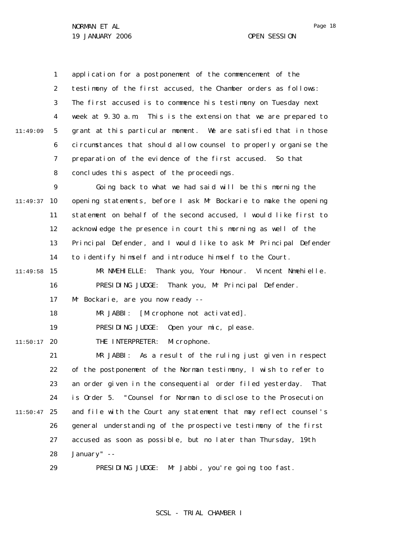1 2 3 4 5 6 7 8  $\mathsf{Q}$ 11:49:09 application for a postponement of the commencement of the testimony of the first accused, the Chamber orders as follows: The first accused is to commence his testimony on Tuesday next week at 9.30 a.m. This is the extension that we are prepared to grant at this particular moment. We are satisfied that in those circumstances that should allow counsel to properly organise the preparation of the evidence of the first accused. So that concludes this aspect of the proceedings. Going back to what we had said will be this morning the

10 11:49:37 11 12 13 14 opening statements, before I ask Mr Bockarie to make the opening statement on behalf of the second accused, I would like first to acknowledge the presence in court this morning as well of the Principal Defender, and I would like to ask Mr Principal Defender to identify himself and introduce himself to the Court.

15 11:49:58 16 MR NMEHIELLE: Thank you, Your Honour. Vincent Nmehielle. PRESIDING JUDGE: Thank you, Mr Principal Defender.

> 17 Mr Bockarie, are you now ready --

18 MR JABBI: [Microphone not activated].

19 PRESIDING JUDGE: Open your mic, please.

20 11:50:17 THE INTERPRETER: Microphone.

21 22 23 24 25 11:50:47 26 27 28 29 MR JABBI: As a result of the ruling just given in respect of the postponement of the Norman testimony, I wish to refer to an order given in the consequential order filed yesterday. That is Order 5. "Counsel for Norman to disclose to the Prosecution and file with the Court any statement that may reflect counsel's general understanding of the prospective testimony of the first accused as soon as possible, but no later than Thursday, 19th January" --

PRESIDING JUDGE: Mr Jabbi, you're going too fast.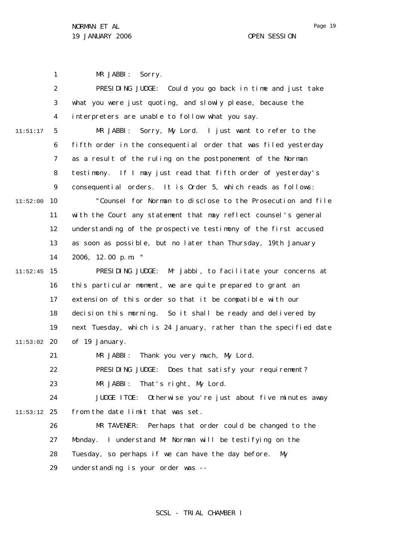Page 19

1 2 3 4 5 6 7 8  $\mathsf{Q}$ 10 11:52:00 11 12 13 14 15 11:52:45 16 17 18 19 20 11:53:02 21 22 23 24 25 11:53:12 26 27 28 29 11:51:17 MR JABBI: Sorry. PRESIDING JUDGE: Could you go back in time and just take what you were just quoting, and slowly please, because the interpreters are unable to follow what you say. MR JABBI: Sorry, My Lord. I just want to refer to the fifth order in the consequential order that was filed yesterday as a result of the ruling on the postponement of the Norman testimony. If I may just read that fifth order of yesterday's consequential orders. It is Order 5, which reads as follows: "Counsel for Norman to disclose to the Prosecution and file with the Court any statement that may reflect counsel's general understanding of the prospective testimony of the first accused as soon as possible, but no later than Thursday, 19th January 2006, 12.00 p.m. " PRESIDING JUDGE: Mr Jabbi, to facilitate your concerns at this particular moment, we are quite prepared to grant an extension of this order so that it be compatible with our decision this morning. So it shall be ready and delivered by next Tuesday, which is 24 January, rather than the specified date of 19 January. MR JABBI: Thank you very much, My Lord. PRESIDING JUDGE: Does that satisfy your requirement? MR JABBI: That's right, My Lord. JUDGE ITOE: Otherwise you're just about five minutes away from the date limit that was set. MR TAVENER: Perhaps that order could be changed to the Monday. I understand Mr Norman will be testifying on the Tuesday, so perhaps if we can have the day before. My understanding is your order was --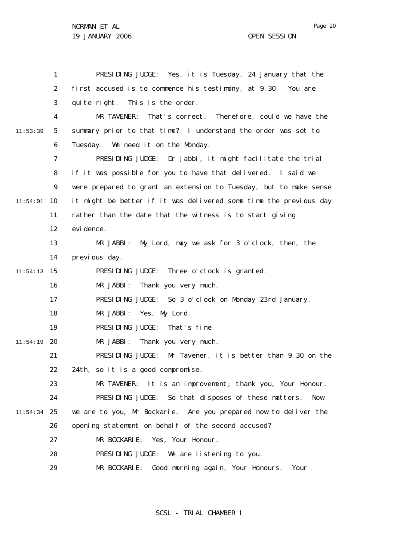1 2 3 4 5 6 7 8  $\mathsf{Q}$ 10 11:54:01 11 12 13 14 15 11:54:13 16 17 18 19 20 11:54:19 21 22 23 24 25 11:54:34 26 27 28 29 11:53:39 PRESIDING JUDGE: Yes, it is Tuesday, 24 January that the first accused is to commence his testimony, at 9.30. You are quite right. This is the order. MR TAVENER: That's correct. Therefore, could we have the summary prior to that time? I understand the order was set to Tuesday. We need it on the Monday. PRESIDING JUDGE: Dr Jabbi, it might facilitate the trial if it was possible for you to have that delivered. I said we were prepared to grant an extension to Tuesday, but to make sense it might be better if it was delivered some time the previous day rather than the date that the witness is to start giving evi dence. MR JABBI: My Lord, may we ask for 3 o'clock, then, the previous day. PRESIDING JUDGE: Three o'clock is granted. MR JABBI: Thank you very much. PRESIDING JUDGE: So 3 o'clock on Monday 23rd January. MR JABBI: Yes, My Lord. PRESIDING JUDGE: That's fine. MR JABBI: Thank you very much. PRESIDING JUDGE: Mr Tavener, it is better than 9.30 on the 24th, so it is a good compromise. MR TAVENER: It is an improvement; thank you, Your Honour. PRESIDING JUDGE: So that disposes of these matters. Now we are to you, Mr Bockarie. Are you prepared now to deliver the opening statement on behalf of the second accused? MR BOCKARIE: Yes, Your Honour. PRESIDING JUDGE: We are listening to you. MR BOCKARIE: Good morning again, Your Honours. Your

SCSL - TRIAL CHAMBER I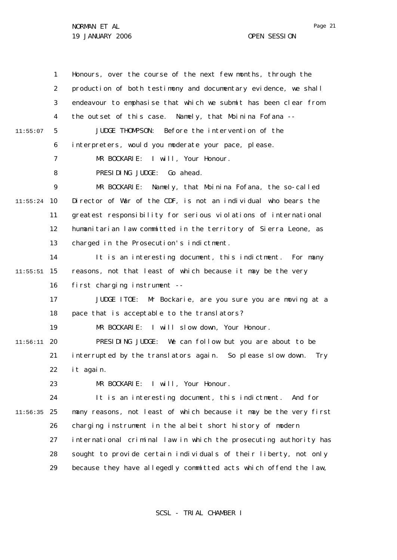1 2 3 4 5 6 7 8  $\mathsf{Q}$ 10 11:55:24 11 12 13 14 15 11:55:51 16 17 18 19 20 11:56:11 21 22 23 24 25 11:56:35 26 27 28 29 11:55:07 Honours, over the course of the next few months, through the production of both testimony and documentary evidence, we shall endeavour to emphasise that which we submit has been clear from the outset of this case. Namely, that Moinina Fofana -- JUDGE THOMPSON: Before the intervention of the interpreters, would you moderate your pace, please. MR BOCKARIE: I will, Your Honour. PRESIDING JUDGE: Go ahead. MR BOCKARIE: Namely, that Moinina Fofana, the so-called Director of War of the CDF, is not an individual who bears the greatest responsibility for serious violations of international humanitarian law committed in the territory of Sierra Leone, as charged in the Prosecution's indictment. It is an interesting document, this indictment. For many reasons, not that least of which because it may be the very first charging instrument -- JUDGE ITOE: Mr Bockarie, are you sure you are moving at a pace that is acceptable to the translators? MR BOCKARIE: I will slow down, Your Honour. PRESIDING JUDGE: We can follow but you are about to be interrupted by the translators again. So please slow down. Try it again. MR BOCKARIE: I will, Your Honour. It is an interesting document, this indictment. And for many reasons, not least of which because it may be the very first charging instrument in the albeit short history of modern international criminal law in which the prosecuting authority has sought to provide certain individuals of their liberty, not only because they have allegedly committed acts which offend the law,

SCSL - TRIAL CHAMBER I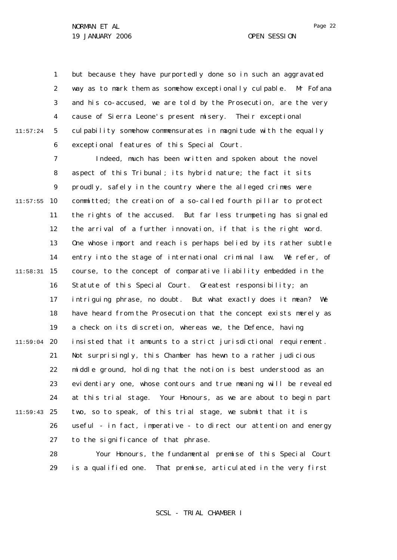1 2 3 4 5 6 11:57:24 but because they have purportedly done so in such an aggravated way as to mark them as somehow exceptionally culpable. Mr Fofana and his co-accused, we are told by the Prosecution, are the very cause of Sierra Leone's present misery. Their exceptional culpability somehow commensurates in magnitude with the equally exceptional features of this Special Court.

7 8  $\mathsf{Q}$ 10 11:57:55 11 12 13 14 15 11:58:31 16 17 18 19 20 11:59:04 21 22 23 24 25 11:59:43 26 27 Indeed, much has been written and spoken about the novel aspect of this Tribunal; its hybrid nature; the fact it sits proudly, safely in the country where the alleged crimes were committed; the creation of a so-called fourth pillar to protect the rights of the accused. But far less trumpeting has signaled the arrival of a further innovation, if that is the right word. One whose import and reach is perhaps belied by its rather subtle entry into the stage of international criminal law. We refer, of course, to the concept of comparative liability embedded in the Statute of this Special Court. Greatest responsibility; an intriguing phrase, no doubt. But what exactly does it mean? We have heard from the Prosecution that the concept exists merely as a check on its discretion, whereas we, the Defence, having insisted that it amounts to a strict jurisdictional requirement. Not surprisingly, this Chamber has hewn to a rather judicious middle ground, holding that the notion is best understood as an evidentiary one, whose contours and true meaning will be revealed at this trial stage. Your Honours, as we are about to begin part two, so to speak, of this trial stage, we submit that it is useful - in fact, imperative - to direct our attention and energy to the significance of that phrase.

28 29 Your Honours, the fundamental premise of this Special Court is a qualified one. That premise, articulated in the very first

SCSL - TRIAL CHAMBER I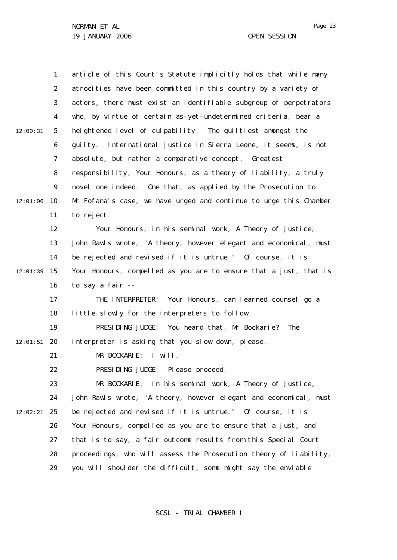1 2 3 4 5 6 7 8  $\mathsf{Q}$ 10 12:01:06 11 12 13 14 15 12:01:39 16 17 18 19 20 12:01:51 21 22 23 24 25 12:02:21 26 27 28 29 12:00:31 article of this Court's Statute implicitly holds that while many atrocities have been committed in this country by a variety of actors, there must exist an identifiable subgroup of perpetrators who, by virtue of certain as-yet-undetermined criteria, bear a heightened level of culpability. The guiltiest amongst the guilty. International justice in Sierra Leone, it seems, is not absolute, but rather a comparative concept. Greatest responsibility, Your Honours, as a theory of liability, a truly novel one indeed. One that, as applied by the Prosecution to Mr Fofana's case, we have urged and continue to urge this Chamber to reject. Your Honours, in his seminal work, *A Theory of Justice*, John Rawls wrote, "A theory, however elegant and economical, must be rejected and revised if it is untrue." Of course, it is Your Honours, compelled as you are to ensure that a just, that is to say a fair -- THE INTERPRETER: Your Honours, can learned counsel go a little slowly for the interpreters to follow. PRESIDING JUDGE: You heard that, Mr Bockarie? The interpreter is asking that you slow down, please. MR BOCKARIE: I will. PRESIDING JUDGE: Please proceed. MR BOCKARIE: In his seminal work, *A Theory of Justice*, John Rawls wrote, "A theory, however elegant and economical, must be rejected and revised if it is untrue." Of course, it is Your Honours, compelled as you are to ensure that a just, and that is to say, a fair outcome results from this Special Court proceedings, who will assess the Prosecution theory of liability, you will shoulder the difficult, some might say the enviable

SCSL - TRIAL CHAMBER I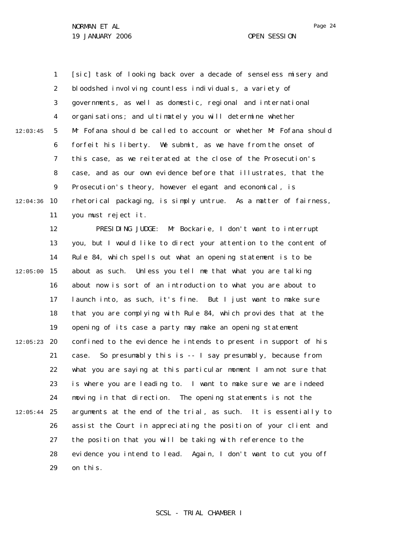1 2 3 4 5 6 7 8  $\mathsf{Q}$ 10 12:04:36 11 12 13 14 15 12:05:00 16 17 18 19 20 12:05:23 21 22 23 24 25 12:05:44 12:03:45 [sic] task of looking back over a decade of senseless misery and bloodshed involving countless individuals, a variety of governments, as well as domestic, regional and international organisations; and ultimately you will determine whether Mr Fofana should be called to account or whether Mr Fofana should forfeit his liberty. We submit, as we have from the onset of this case, as we reiterated at the close of the Prosecution's case, and as our own evidence before that illustrates, that the Prosecution's theory, however elegant and economical, is rhetorical packaging, is simply untrue. As a matter of fairness, you must reject it. PRESIDING JUDGE: Mr Bockarie, I don't want to interrupt you, but I would like to direct your attention to the content of Rule 84, which spells out what an opening statement is to be about as such. Unless you tell me that what you are talking about now is sort of an introduction to what you are about to launch into, as such, it's fine. But I just want to make sure that you are complying with Rule 84, which provides that at the opening of its case a party may make an opening statement confined to the evidence he intends to present in support of his case. So presumably this is -- I say presumably, because from what you are saying at this particular moment I am not sure that is where you are leading to. I want to make sure we are indeed moving in that direction. The opening statements is not the arguments at the end of the trial, as such. It is essentially to

26 27 28 29 assist the Court in appreciating the position of your client and the position that you will be taking with reference to the evidence you intend to lead. Again, I don't want to cut you off on this.

SCSL - TRIAL CHAMBER I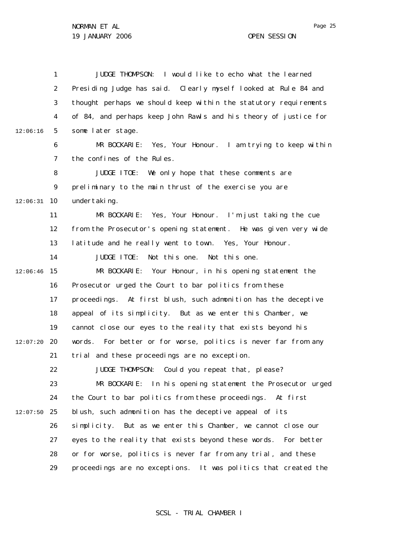|          | 1              | JUDGE THOMPSON: I would like to echo what the learned            |
|----------|----------------|------------------------------------------------------------------|
|          | $\overline{2}$ | Presiding Judge has said. Clearly myself looked at Rule 84 and   |
|          | 3              | thought perhaps we should keep within the statutory requirements |
|          | 4              | of 84, and perhaps keep John Rawls and his theory of justice for |
| 12:06:16 | 5              | some later stage.                                                |
|          | 6              | MR BOCKARIE: Yes, Your Honour. I am trying to keep within        |
|          | $\overline{7}$ | the confines of the Rules.                                       |
|          | 8              | JUDGE ITOE: We only hope that these comments are                 |
|          | 9              | preliminary to the main thrust of the exercise you are           |
| 12:06:31 | 10             | undertaking.                                                     |
|          | 11             | MR BOCKARIE: Yes, Your Honour. I'm just taking the cue           |
|          | 12             | from the Prosecutor's opening statement. He was given very wide  |
|          | 13             | latitude and he really went to town. Yes, Your Honour.           |
|          | 14             | JUDGE I TOE:<br>Not this one.<br>Not this one.                   |
| 12:06:46 | 15             | MR BOCKARIE: Your Honour, in his opening statement the           |
|          | 16             | Prosecutor urged the Court to bar politics from these            |
|          | 17             | proceedings. At first blush, such admonition has the deceptive   |
|          | 18             | appeal of its simplicity. But as we enter this Chamber, we       |
|          | 19             | cannot close our eyes to the reality that exists beyond his      |
| 12:07:20 | 20             | words. For better or for worse, politics is never far from any   |
|          | 21             | trial and these proceedings are no exception.                    |
|          | 22             | JUDGE THOMPSON: Could you repeat that, please?                   |
|          | 23             | MR BOCKARIE: In his opening statement the Prosecutor urged       |
|          | 24             | the Court to bar politics from these proceedings. At first       |
| 12:07:50 | 25             | blush, such admonition has the deceptive appeal of its           |
|          | 26             | simplicity. But as we enter this Chamber, we cannot close our    |
|          | 27             | eyes to the reality that exists beyond these words. For better   |
|          | 28             | or for worse, politics is never far from any trial, and these    |
|          | 29             | proceedings are no exceptions. It was politics that created the  |
|          |                |                                                                  |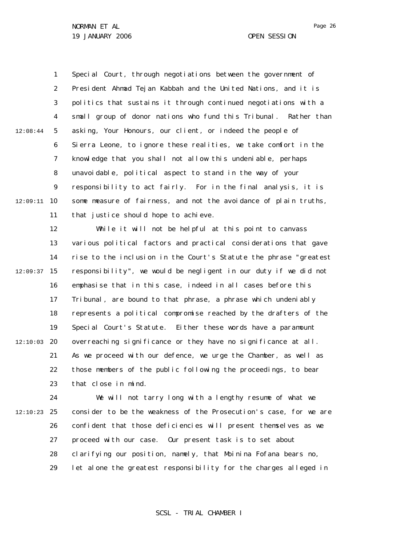1 2 3 4 5 6 7 8 9 10 12:09:11 11 12:08:44 Special Court, through negotiations between the government of President Ahmad Tejan Kabbah and the United Nations, and it is politics that sustains it through continued negotiations with a small group of donor nations who fund this Tribunal. Rather than asking, Your Honours, our client, or indeed the people of Sierra Leone, to ignore these realities, we take comfort in the knowledge that you shall not allow this undeniable, perhaps unavoidable, political aspect to stand in the way of your responsibility to act fairly. For in the final analysis, it is some measure of fairness, and not the avoidance of plain truths, that justice should hope to achieve.

12 13 14 15 12:09:37 16 17 18 19 12:10:03 20 21 22 23 While it will not be helpful at this point to canvass various political factors and practical considerations that gave rise to the inclusion in the Court's Statute the phrase "greatest responsibility", we would be negligent in our duty if we did not emphasise that in this case, indeed in all cases before this Tribunal, are bound to that phrase, a phrase which undeniably represents a political compromise reached by the drafters of the Special Court's Statute. Either these words have a paramount overreaching significance or they have no significance at all. As we proceed with our defence, we urge the Chamber, as well as those members of the public following the proceedings, to bear that close in mind.

24 25 12:10:23 26 27 28 29 We will not tarry long with a lengthy resume of what we consider to be the weakness of the Prosecution's case, for we are confident that those deficiencies will present themselves as we proceed with our case. Our present task is to set about clarifying our position, namely, that Moinina Fofana bears no, let alone the greatest responsibility for the charges alleged in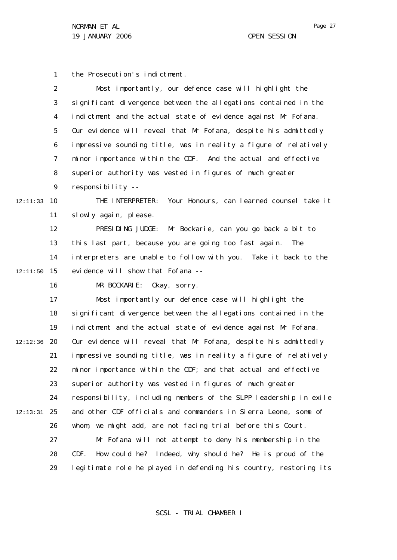1 the Prosecution's indictment.

|          | $\overline{2}$ | Most importantly, our defence case will highlight the             |
|----------|----------------|-------------------------------------------------------------------|
|          | 3              | significant divergence between the allegations contained in the   |
|          | 4              | indictment and the actual state of evidence against Mr Fofana.    |
|          | 5              | Our evidence will reveal that Mr Fofana, despite his admittedly   |
|          | 6              | impressive sounding title, was in reality a figure of relatively  |
|          | 7              | minor importance within the CDF. And the actual and effective     |
|          | 8              | superior authority was vested in figures of much greater          |
|          | 9              | responsibility --                                                 |
| 12:11:33 | 10             | Your Honours, can learned counsel take it<br>THE INTERPRETER:     |
|          | 11             | slowly again, please.                                             |
|          | 12             | PRESIDING JUDGE:<br>Mr Bockarie, can you go back a bit to         |
|          | 13             | this last part, because you are going too fast again.<br>The      |
|          | 14             | interpreters are unable to follow with you. Take it back to the   |
| 12:11:50 | 15             | evidence will show that Fofana --                                 |
|          | 16             | MR BOCKARIE: Okay, sorry.                                         |
|          | 17             | Most importantly our defence case will highlight the              |
|          | 18             | significant divergence between the allegations contained in the   |
|          | 19             | indictment and the actual state of evidence against Mr Fofana.    |
| 12:12:36 | 20             | Our evidence will reveal that Mr Fofana, despite his admittedly   |
|          | 21             | impressive sounding title, was in reality a figure of relatively  |
|          | 22             | minor importance within the CDF; and that actual and effective    |
|          | 23             | superior authority was vested in figures of much greater          |
|          | 24             | responsibility, including members of the SLPP leadership in exile |
| 12:13:31 | 25             | and other CDF officials and commanders in Sierra Leone, some of   |
|          | 26             | whom, we might add, are not facing trial before this Court.       |
|          | 27             | Mr Fofana will not attempt to deny his membership in the          |
|          | 28             | CDF.<br>How could he? Indeed, why should he? He is proud of the   |
|          | 29             | legitimate role he played in defending his country, restoring its |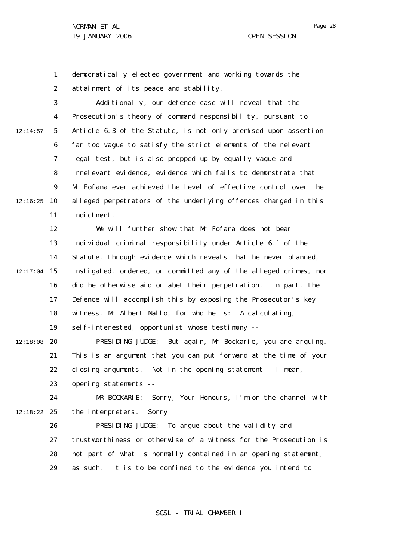Page 28

1 2 3 4 5 6 7 8  $\mathsf{Q}$ 10 12:16:25 11 12 13 14 15 12:17:04 16 17 18 19 12:18:08 20 21 22 23 24 25 12:18:22 26 27 28 29 12:14:57 democratically elected government and working towards the attainment of its peace and stability. Additionally, our defence case will reveal that the Prosecution's theory of command responsibility, pursuant to Article 6.3 of the Statute, is not only premised upon assertion far too vague to satisfy the strict elements of the relevant legal test, but is also propped up by equally vague and irrelevant evidence, evidence which fails to demonstrate that Mr Fofana ever achieved the level of effective control over the alleged perpetrators of the underlying offences charged in this indictment. We will further show that Mr Fofana does not bear individual criminal responsibility under Article 6.1 of the Statute, through evidence which reveals that he never planned, instigated, ordered, or committed any of the alleged crimes, nor did he otherwise aid or abet their perpetration. In part, the Defence will accomplish this by exposing the Prosecutor's key witness, Mr Albert Nallo, for who he is: A calculating, self-interested, opportunist whose testimony --PRESIDING JUDGE: But again, Mr Bockarie, you are arguing. This is an argument that you can put forward at the time of your closing arguments. Not in the opening statement. I mean, opening statements -- MR BOCKARIE: Sorry, Your Honours, I'm on the channel with the interpreters. Sorry. PRESIDING JUDGE: To argue about the validity and trustworthiness or otherwise of a witness for the Prosecution is not part of what is normally contained in an opening statement, as such. It is to be confined to the evidence you intend to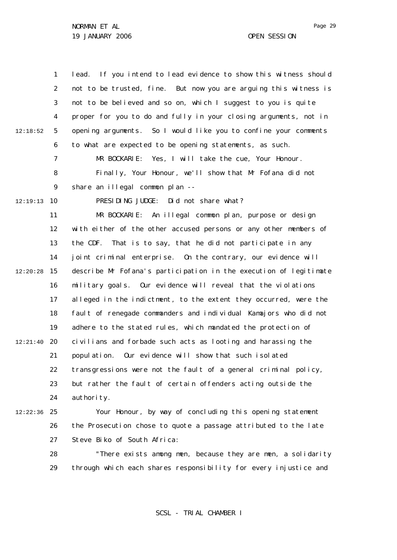|          | $\mathbf{1}$ | lead. If you intend to lead evidence to show this witness should  |
|----------|--------------|-------------------------------------------------------------------|
|          | 2            | not to be trusted, fine. But now you are arguing this witness is  |
|          | 3            | not to be believed and so on, which I suggest to you is quite     |
|          | 4            | proper for you to do and fully in your closing arguments, not in  |
| 12:18:52 | 5            | opening arguments. So I would like you to confine your comments   |
|          | 6            | to what are expected to be opening statements, as such.           |
|          | 7            | MR BOCKARIE: Yes, I will take the cue, Your Honour.               |
|          | 8            | Finally, Your Honour, we'll show that Mr Fofana did not           |
|          | 9            | share an illegal common plan --                                   |
| 12:19:13 | 10           | PRESIDING JUDGE: Did not share what?                              |
|          | 11           | MR BOCKARIE: An illegal common plan, purpose or design            |
|          | 12           | with either of the other accused persons or any other members of  |
|          | 13           | the CDF. That is to say, that he did not participate in any       |
|          | 14           | joint criminal enterprise. On the contrary, our evidence will     |
| 12:20:28 | 15           | describe Mr Fofana's participation in the execution of legitimate |
|          | 16           | military goals. Our evidence will reveal that the violations      |
|          | 17           | alleged in the indictment, to the extent they occurred, were the  |
|          | 18           | fault of renegade commanders and individual Kamajors who did not  |
|          | 19           | adhere to the stated rules, which mandated the protection of      |
| 12:21:40 | 20           | civilians and forbade such acts as looting and harassing the      |
|          | 21           | population. Our evidence will show that such isolated             |
|          | 22           | transgressions were not the fault of a general criminal policy,   |
|          | 23           | but rather the fault of certain offenders acting outside the      |
|          | 24           | authority.                                                        |
| 12:22:36 | 25           | Your Honour, by way of concluding this opening statement          |
|          | 26           | the Prosecution chose to quote a passage attributed to the late   |
|          | 27           | Steve Biko of South Africa:                                       |
|          | 28           | "There exists among men, because they are men, a solidarity       |
|          | 29           | through which each shares responsibility for every injustice and  |
|          |              |                                                                   |
|          |              |                                                                   |

SCSL - TRIAL CHAMBER I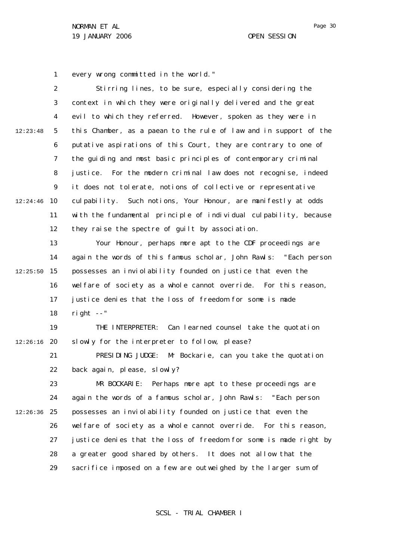1 every wrong committed in the world."

|          | 2   | Stirring lines, to be sure, especially considering the            |
|----------|-----|-------------------------------------------------------------------|
|          | 3   | context in which they were originally delivered and the great     |
|          | 4   | evil to which they referred. However, spoken as they were in      |
| 12:23:48 | 5   | this Chamber, as a paean to the rule of law and in support of the |
|          | 6   | putative aspirations of this Court, they are contrary to one of   |
|          | 7   | the guiding and most basic principles of contemporary criminal    |
|          | 8   | justice. For the modern criminal law does not recognise, indeed   |
|          | 9   | it does not tolerate, notions of collective or representative     |
| 12:24:46 | 10  | culpability. Such notions, Your Honour, are manifestly at odds    |
|          | 11  | with the fundamental principle of individual culpability, because |
|          | 12  | they raise the spectre of guilt by association.                   |
|          | 13  | Your Honour, perhaps more apt to the CDF proceedings are          |
|          | 14  | again the words of this famous scholar, John Rawls: "Each person  |
| 12:25:50 | 15  | possesses an inviolability founded on justice that even the       |
|          | 16  | wel fare of society as a whole cannot override. For this reason,  |
|          | 17  | justice denies that the loss of freedom for some is made          |
|          | 18  | $right - -$ "                                                     |
|          | 19  | THE INTERPRETER: Can learned counsel take the quotation           |
| 12:26:16 | 20  | slowly for the interpreter to follow, please?                     |
|          | 21  | PRESIDING JUDGE: Mr Bockarie, can you take the quotation          |
|          | 22  | back again, please, slowly?                                       |
|          | 23. | MR BOCKARIE: Perhaps more apt to these proceedings are            |
|          | 24  | again the words of a famous scholar, John Rawls: "Each person     |
| 12:26:36 | 25  | possesses an inviolability founded on justice that even the       |
|          | 26  | wel fare of society as a whole cannot override. For this reason,  |
|          | 27  | justice denies that the loss of freedom for some is made right by |
|          | 28  | a greater good shared by others. It does not allow that the       |
|          | 29  | sacrifice imposed on a few are outweighed by the larger sum of    |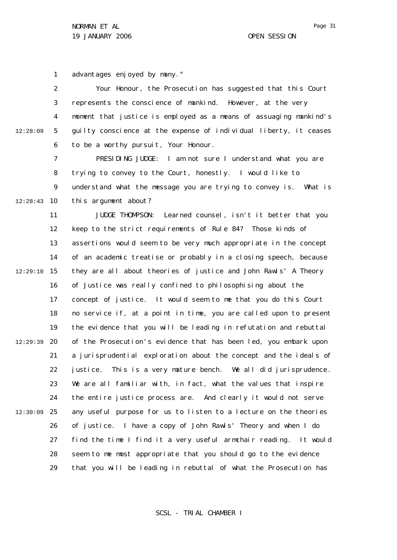1 advantages enjoyed by many."

2 3 4 5 6 12:28:09 Your Honour, the Prosecution has suggested that this Court represents the conscience of mankind. However, at the very moment that justice is employed as a means of assuaging mankind's guilty conscience at the expense of individual liberty, it ceases to be a worthy pursuit, Your Honour.

7 8 9 10 12:28:43 PRESIDING JUDGE: I am not sure I understand what you are trying to convey to the Court, honestly. I would like to understand what the message you are trying to convey is. What is this argument about?

11 12 13 14 15 12:29:10 16 17 18 19 20 12:29:39 21 22 23 24 25 12:30:09 26 27 28 29 JUDGE THOMPSON: Learned counsel, isn't it better that you keep to the strict requirements of Rule 84? Those kinds of assertions would seem to be very much appropriate in the concept of an academic treatise or probably in a closing speech, because they are all about theories of justice and John Rawls' *A Theory of Justice* was really confined to philosophising about the concept of justice. It would seem to me that you do this Court no service if, at a point in time, you are called upon to present the evidence that you will be leading in refutation and rebuttal of the Prosecution's evidence that has been led, you embark upon a jurisprudential exploration about the concept and the ideals of justice. This is a very mature bench. We all did jurisprudence. We are all familiar with, in fact, what the values that inspire the entire justice process are. And clearly it would not serve any useful purpose for us to listen to a lecture on the theories of justice. I have a copy of John Rawls' *Theory* and when I do find the time I find it a very useful armchair reading. It would seem to me most appropriate that you should go to the evidence that you will be leading in rebuttal of what the Prosecution has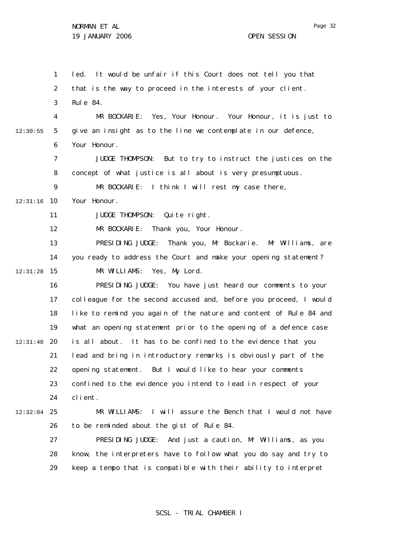1 2 3 4 5 6 7 8  $\mathsf{Q}$ 10 12:31:16 11 12 13 14 15 12:31:28 16 17 18 19 20 12:31:48 21 22 23 24 25 12:32:04 26 27 28 29 12:30:55 led. It would be unfair if this Court does not tell you that that is the way to proceed in the interests of your client. Rule 84. MR BOCKARIE: Yes, Your Honour. Your Honour, it is just to give an insight as to the line we contemplate in our defence, Your Honour. JUDGE THOMPSON: But to try to instruct the justices on the concept of what justice is all about is very presumptuous. MR BOCKARIE: I think I will rest my case there, Your Honour. JUDGE THOMPSON: Quite right. MR BOCKARIE: Thank you, Your Honour. PRESIDING JUDGE: Thank you, Mr Bockarie. Mr Williams, are you ready to address the Court and make your opening statement? MR WILLIAMS: Yes, My Lord. PRESIDING JUDGE: You have just heard our comments to your colleague for the second accused and, before you proceed, I would like to remind you again of the nature and content of Rule 84 and what an opening statement prior to the opening of a defence case is all about. It has to be confined to the evidence that you lead and bring in introductory remarks is obviously part of the opening statement. But I would like to hear your comments confined to the evidence you intend to lead in respect of your client. MR WILLIAMS: I will assure the Bench that I would not have to be reminded about the gist of Rule 84. PRESIDING JUDGE: And just a caution, Mr Williams, as you know, the interpreters have to follow what you do say and try to keep a tempo that is compatible with their ability to interpret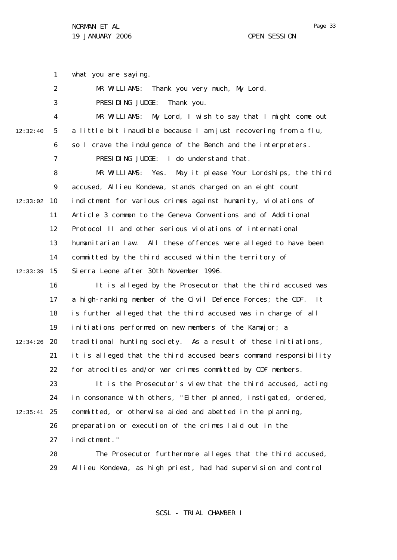Page 33

1 2 3 4 5 6 7 8  $\mathsf{Q}$ 10 12:33:02 11 12 13 14 15 12:33:39 16 17 18 19 20 12:34:26 21 22 23 24 25 12:35:41 26 27 28 29 12:32:40 what you are saying. MR WILLIAMS: Thank you very much, My Lord. PRESIDING JUDGE: Thank you. MR WILLIAMS: My Lord, I wish to say that I might come out a little bit inaudible because I am just recovering from a flu, so I crave the indulgence of the Bench and the interpreters. PRESIDING JUDGE: I do understand that. MR WILLIAMS: Yes. May it please Your Lordships, the third accused, Allieu Kondewa, stands charged on an eight count indictment for various crimes against humanity, violations of Article 3 common to the Geneva Conventions and of Additional Protocol II and other serious violations of international humanitarian law. All these offences were alleged to have been committed by the third accused within the territory of Sierra Leone after 30th November 1996. It is alleged by the Prosecutor that the third accused was a high-ranking member of the Civil Defence Forces; the CDF. It is further alleged that the third accused was in charge of all initiations performed on new members of the Kamajor; a traditional hunting society. As a result of these initiations, it is alleged that the third accused bears command responsibility for atrocities and/or war crimes committed by CDF members. It is the Prosecutor's view that the third accused, acting in consonance with others, "Either planned, instigated, ordered, committed, or otherwise aided and abetted in the planning, preparation or execution of the crimes laid out in the indictment." The Prosecutor furthermore alleges that the third accused, Allieu Kondewa, as high priest, had had supervision and control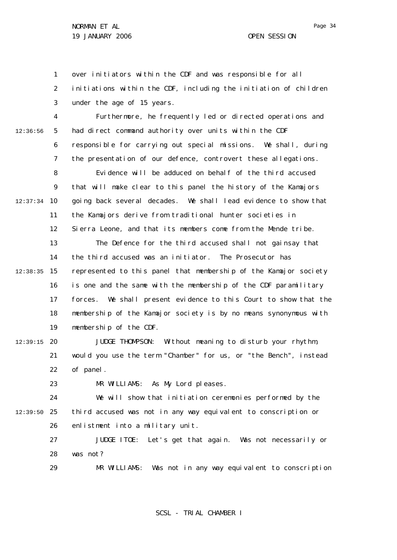1 2 3 over initiators within the CDF and was responsible for all initiations within the CDF, including the initiation of children under the age of 15 years.

4 5 6 7 12:36:56 Furthermore, he frequently led or directed operations and had direct command authority over units within the CDF responsible for carrying out special missions. We shall, during the presentation of our defence, controvert these allegations.

8  $\mathsf{Q}$ 10 12:37:34 11 12 13 14 15 12:38:35 16 17 18 19 Evidence will be adduced on behalf of the third accused that will make clear to this panel the history of the Kamajors going back several decades. We shall lead evidence to show that the Kamajors derive from traditional hunter societies in Sierra Leone, and that its members come from the Mende tribe. The Defence for the third accused shall not gainsay that the third accused was an initiator. The Prosecutor has represented to this panel that membership of the Kamajor society is one and the same with the membership of the CDF paramilitary forces. We shall present evidence to this Court to show that the membership of the Kamajor society is by no means synonymous with membership of the CDF.

20 12:39:15 21 22 JUDGE THOMPSON: Without meaning to disturb your rhythm, would you use the term "Chamber" for us, or "the Bench", instead of panel.

> 23 MR WILLIAMS: As My Lord pleases.

24 25 12:39:50 26 We will show that initiation ceremonies performed by the third accused was not in any way equivalent to conscription or enlistment into a military unit.

> 27 28 JUDGE ITOE: Let's get that again. Was not necessarily or was not?

29 MR WILLIAMS: Was not in any way equivalent to conscription

SCSL - TRIAL CHAMBER I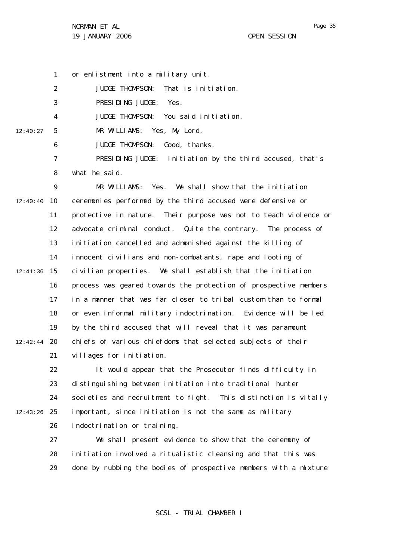1 or enlistment into a military unit.

2 JUDGE THOMPSON: That is initiation.

3 PRESIDING JUDGE: Yes.

4 JUDGE THOMPSON: You said initiation.

5 12:40:27 MR WILLIAMS: Yes, My Lord.

> 6 JUDGE THOMPSON: Good, thanks.

7 8 PRESIDING JUDGE: Initiation by the third accused, that's what he said.

 $\mathsf{Q}$ 10 12:40:40 11 12 13 14 15 12:41:36 16 17 18 19 12:42:44 20 21 MR WILLIAMS: Yes. We shall show that the initiation ceremonies performed by the third accused were defensive or protective in nature. Their purpose was not to teach violence or advocate criminal conduct. Quite the contrary. The process of initiation cancelled and admonished against the killing of innocent civilians and non-combatants, rape and looting of civilian properties. We shall establish that the initiation process was geared towards the protection of prospective members in a manner that was far closer to tribal custom than to formal or even informal military indoctrination. Evidence will be led by the third accused that will reveal that it was paramount chiefs of various chiefdoms that selected subjects of their villages for initiation.

22 23 24 25 12:43:26 26 It would appear that the Prosecutor finds difficulty in distinguishing between initiation into traditional hunter societies and recruitment to fight. This distinction is vitally important, since initiation is not the same as military indoctrination or training.

> 27 28 29 We shall present evidence to show that the ceremony of initiation involved a ritualistic cleansing and that this was done by rubbing the bodies of prospective members with a mixture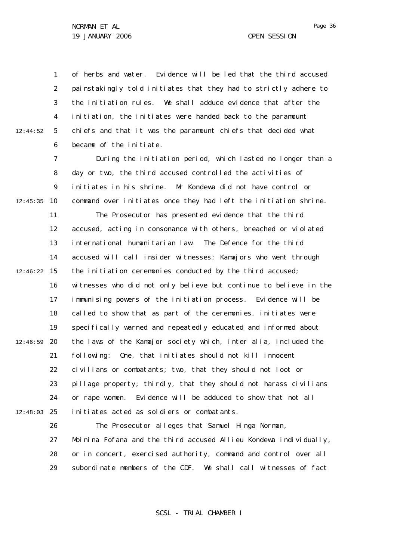1 2 3 4 5 6 12:44:52 of herbs and water. Evidence will be led that the third accused painstakingly told initiates that they had to strictly adhere to the initiation rules. We shall adduce evidence that after the initiation, the initiates were handed back to the paramount chiefs and that it was the paramount chiefs that decided what became of the initiate.

7 8  $\mathsf{Q}$ 10 12:45:35 11 12 13 14 15 12:46:22 16 17 18 19 20 12:46:59 21 22 23 24 25 12:48:03 During the initiation period, which lasted no longer than a day or two, the third accused controlled the activities of initiates in his shrine. Mr Kondewa did not have control or command over initiates once they had left the initiation shrine. The Prosecutor has presented evidence that the third accused, acting in consonance with others, breached or violated international humanitarian law. The Defence for the third accused will call insider witnesses; Kamajors who went through the initiation ceremonies conducted by the third accused; witnesses who did not only believe but continue to believe in the immunising powers of the initiation process. Evidence will be called to show that as part of the ceremonies, initiates were specifically warned and repeatedly educated and informed about the laws of the Kamajor society which, inter alia, included the following: One, that initiates should not kill innocent civilians or combatants; two, that they should not loot or pillage property; thirdly, that they should not harass civilians or rape women. Evidence will be adduced to show that not all initiates acted as soldiers or combatants.

> 26 27 28 29 The Prosecutor alleges that Samuel Hinga Norman, Moinina Fofana and the third accused Allieu Kondewa individually, or in concert, exercised authority, command and control over all subordinate members of the CDF. We shall call witnesses of fact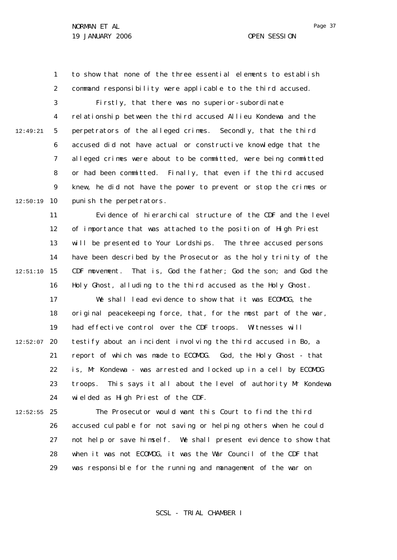1 2 to show that none of the three essential elements to establish command responsibility were applicable to the third accused.

3 4 5 6 7 8  $\mathsf{Q}$ 10 12:50:19 12:49:21 Firstly, that there was no superior-subordinate relationship between the third accused Allieu Kondewa and the perpetrators of the alleged crimes. Secondly, that the third accused did not have actual or constructive knowledge that the alleged crimes were about to be committed, were being committed or had been committed. Finally, that even if the third accused knew, he did not have the power to prevent or stop the crimes or punish the perpetrators.

11 12 13 14 15 12:51:10 16 Evidence of hierarchical structure of the CDF and the level of importance that was attached to the position of High Priest will be presented to Your Lordships. The three accused persons have been described by the Prosecutor as the holy trinity of the CDF movement. That is, God the father; God the son; and God the Holy Ghost, alluding to the third accused as the Holy Ghost.

17 18 19 12:52:07 20 21 22 23 24 We shall lead evidence to show that it was ECOMOG, the original peacekeeping force, that, for the most part of the war, had effective control over the CDF troops. Witnesses will testify about an incident involving the third accused in Bo, a report of which was made to ECOMOG. God, the Holy Ghost - that is, Mr Kondewa - was arrested and locked up in a cell by ECOMOG troops. This says it all about the level of authority Mr Kondewa wielded as High Priest of the CDF.

25 12:52:55 26 27 28 29 The Prosecutor would want this Court to find the third accused culpable for not saving or helping others when he could not help or save himself. We shall present evidence to show that when it was not ECOMOG, it was the War Council of the CDF that was responsible for the running and management of the war on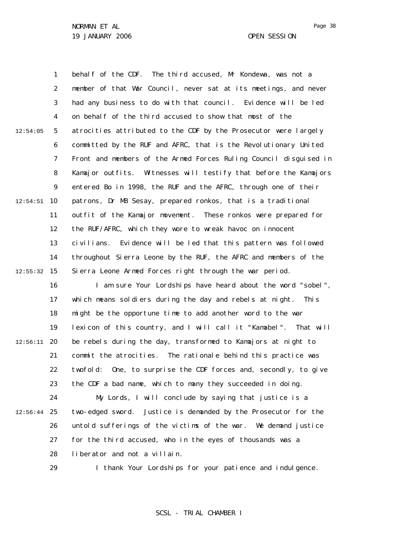1 2 3 4 5 6 7 8 9 10 12:54:51 11 12 13 14 15 12:55:32 16 17 18 19 20 12:56:11 21 22 23 24 25 12:56:44 26 27 28 29 12:54:05 behalf of the CDF. The third accused, Mr Kondewa, was not a member of that War Council, never sat at its meetings, and never had any business to do with that council. Evidence will be led on behalf of the third accused to show that most of the atrocities attributed to the CDF by the Prosecutor were largely committed by the RUF and AFRC, that is the Revolutionary United Front and members of the Armed Forces Ruling Council disguised in Kamajor outfits. Witnesses will testify that before the Kamajors entered Bo in 1998, the RUF and the AFRC, through one of their patrons, Dr MB Sesay, prepared ronkos, that is a traditional outfit of the Kamajor movement. These ronkos were prepared for the RUF/AFRC, which they wore to wreak havoc on innocent civilians. Evidence will be led that this pattern was followed throughout Sierra Leone by the RUF, the AFRC and members of the Sierra Leone Armed Forces right through the war period. I am sure Your Lordships have heard about the word "sobel", which means soldiers during the day and rebels at night. This might be the opportune time to add another word to the war lexicon of this country, and I will call it "Kamabel". That will be rebels during the day, transformed to Kamajors at night to commit the atrocities. The rationale behind this practice was twofold: One, to surprise the CDF forces and, secondly, to give the CDF a bad name, which to many they succeeded in doing. My Lords, I will conclude by saying that justice is a two-edged sword. Justice is demanded by the Prosecutor for the untold sufferings of the victims of the war. We demand justice for the third accused, who in the eyes of thousands was a liberator and not a villain. I thank Your Lordships for your patience and indulgence.